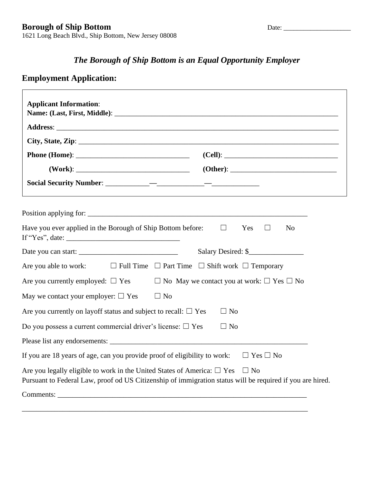# *The Borough of Ship Bottom is an Equal Opportunity Employer*

## **Employment Application:**

|                                                                           | Have you ever applied in the Borough of Ship Bottom before: $\square$ Yes $\square$<br>N <sub>0</sub>                                                                                               |
|---------------------------------------------------------------------------|-----------------------------------------------------------------------------------------------------------------------------------------------------------------------------------------------------|
|                                                                           | Salary Desired: \$                                                                                                                                                                                  |
|                                                                           | Are you able to work: $\square$ Full Time $\square$ Part Time $\square$ Shift work $\square$ Temporary                                                                                              |
|                                                                           | Are you currently employed: $\Box$ Yes $\Box$ No May we contact you at work: $\Box$ Yes $\Box$ No                                                                                                   |
| May we contact your employer: $\Box$ Yes                                  | $\Box$ No                                                                                                                                                                                           |
| Are you currently on layoff status and subject to recall: $\Box$ Yes      | $\Box$ No                                                                                                                                                                                           |
| Do you possess a current commercial driver's license: $\square$ Yes       | $\Box$ No                                                                                                                                                                                           |
|                                                                           |                                                                                                                                                                                                     |
| If you are 18 years of age, can you provide proof of eligibility to work: | $\Box$ Yes $\Box$ No                                                                                                                                                                                |
|                                                                           | Are you legally eligible to work in the United States of America: $\Box$ Yes $\Box$ No<br>Pursuant to Federal Law, proof od US Citizenship of immigration status will be required if you are hired. |
|                                                                           |                                                                                                                                                                                                     |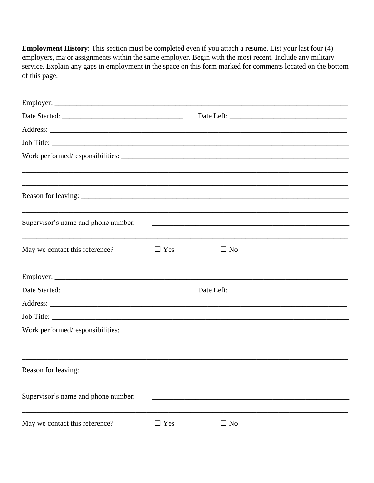**Employment History:** This section must be completed even if you attach a resume. List your last four (4) employers, major assignments within the same employer. Begin with the most recent. Include any military service. Explain any gaps in employment in the space on this form marked for comments located on the bottom of this page.

| Job Title:                          |            |           |  |
|-------------------------------------|------------|-----------|--|
|                                     |            |           |  |
|                                     |            |           |  |
|                                     |            |           |  |
|                                     |            |           |  |
| May we contact this reference?      | $\Box$ Yes | $\Box$ No |  |
|                                     |            |           |  |
|                                     |            |           |  |
|                                     |            |           |  |
| Job Title:                          |            |           |  |
|                                     |            |           |  |
|                                     |            |           |  |
|                                     |            |           |  |
| Supervisor's name and phone number: |            |           |  |
| May we contact this reference?      | $\Box$ Yes | $\Box$ No |  |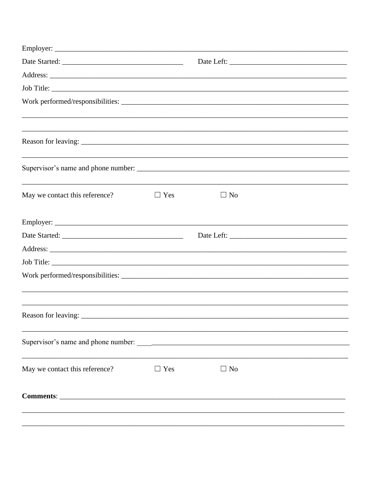| May we contact this reference? | $\Box$ Yes | $\Box$ No |  |
|--------------------------------|------------|-----------|--|
|                                |            |           |  |
|                                |            |           |  |
|                                |            |           |  |
|                                |            |           |  |
|                                |            |           |  |
| Reason for leaving:            |            |           |  |
|                                |            |           |  |
| May we contact this reference? | $\Box$ Yes | $\Box$ No |  |
| Comments: Comments:            |            |           |  |
|                                |            |           |  |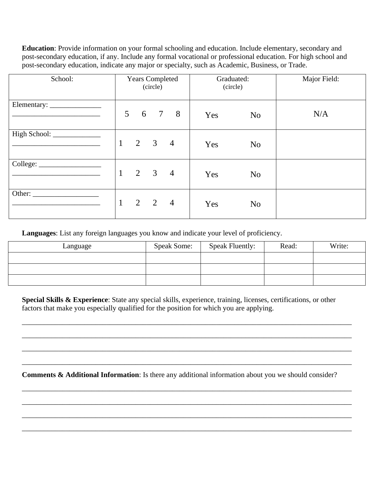**Education**: Provide information on your formal schooling and education. Include elementary, secondary and post-secondary education, if any. Include any formal vocational or professional education. For high school and post-secondary education, indicate any major or specialty, such as Academic, Business, or Trade.

| School: | <b>Years Completed</b><br>(circle)                             | Graduated:<br>(circle) | Major Field: |
|---------|----------------------------------------------------------------|------------------------|--------------|
|         | 5 <sup>5</sup><br>6<br>$\overline{7}$<br>8                     | Yes<br>N <sub>o</sub>  | N/A          |
|         | 2<br>$\mathbf{1}$<br>$\overline{3}$<br>$\overline{4}$          | Yes<br>N <sub>o</sub>  |              |
|         | 2<br>$\mathbf{1}$<br>$\overline{\mathbf{3}}$<br>$\overline{4}$ | Yes<br>N <sub>o</sub>  |              |
| Other:  | $2 \quad 2$<br>$\mathbf{1}$<br>$\overline{4}$                  | Yes<br>N <sub>o</sub>  |              |

**Languages**: List any foreign languages you know and indicate your level of proficiency.

| Language | <b>Speak Some:</b> | Speak Fluently: | Read: | Write: |
|----------|--------------------|-----------------|-------|--------|
|          |                    |                 |       |        |
|          |                    |                 |       |        |
|          |                    |                 |       |        |

**Special Skills & Experience**: State any special skills, experience, training, licenses, certifications, or other factors that make you especially qualified for the position for which you are applying.

\_\_\_\_\_\_\_\_\_\_\_\_\_\_\_\_\_\_\_\_\_\_\_\_\_\_\_\_\_\_\_\_\_\_\_\_\_\_\_\_\_\_\_\_\_\_\_\_\_\_\_\_\_\_\_\_\_\_\_\_\_\_\_\_\_\_\_\_\_\_\_\_\_\_\_\_\_\_\_\_\_\_\_\_\_\_\_\_\_\_

\_\_\_\_\_\_\_\_\_\_\_\_\_\_\_\_\_\_\_\_\_\_\_\_\_\_\_\_\_\_\_\_\_\_\_\_\_\_\_\_\_\_\_\_\_\_\_\_\_\_\_\_\_\_\_\_\_\_\_\_\_\_\_\_\_\_\_\_\_\_\_\_\_\_\_\_\_\_\_\_\_\_\_\_\_\_\_\_\_\_

\_\_\_\_\_\_\_\_\_\_\_\_\_\_\_\_\_\_\_\_\_\_\_\_\_\_\_\_\_\_\_\_\_\_\_\_\_\_\_\_\_\_\_\_\_\_\_\_\_\_\_\_\_\_\_\_\_\_\_\_\_\_\_\_\_\_\_\_\_\_\_\_\_\_\_\_\_\_\_\_\_\_\_\_\_\_\_\_\_\_

\_\_\_\_\_\_\_\_\_\_\_\_\_\_\_\_\_\_\_\_\_\_\_\_\_\_\_\_\_\_\_\_\_\_\_\_\_\_\_\_\_\_\_\_\_\_\_\_\_\_\_\_\_\_\_\_\_\_\_\_\_\_\_\_\_\_\_\_\_\_\_\_\_\_\_\_\_\_\_\_\_\_\_\_\_\_\_\_\_\_

\_\_\_\_\_\_\_\_\_\_\_\_\_\_\_\_\_\_\_\_\_\_\_\_\_\_\_\_\_\_\_\_\_\_\_\_\_\_\_\_\_\_\_\_\_\_\_\_\_\_\_\_\_\_\_\_\_\_\_\_\_\_\_\_\_\_\_\_\_\_\_\_\_\_\_\_\_\_\_\_\_\_\_\_\_\_\_\_\_\_

\_\_\_\_\_\_\_\_\_\_\_\_\_\_\_\_\_\_\_\_\_\_\_\_\_\_\_\_\_\_\_\_\_\_\_\_\_\_\_\_\_\_\_\_\_\_\_\_\_\_\_\_\_\_\_\_\_\_\_\_\_\_\_\_\_\_\_\_\_\_\_\_\_\_\_\_\_\_\_\_\_\_\_\_\_\_\_\_\_\_

\_\_\_\_\_\_\_\_\_\_\_\_\_\_\_\_\_\_\_\_\_\_\_\_\_\_\_\_\_\_\_\_\_\_\_\_\_\_\_\_\_\_\_\_\_\_\_\_\_\_\_\_\_\_\_\_\_\_\_\_\_\_\_\_\_\_\_\_\_\_\_\_\_\_\_\_\_\_\_\_\_\_\_\_\_\_\_\_\_\_

\_\_\_\_\_\_\_\_\_\_\_\_\_\_\_\_\_\_\_\_\_\_\_\_\_\_\_\_\_\_\_\_\_\_\_\_\_\_\_\_\_\_\_\_\_\_\_\_\_\_\_\_\_\_\_\_\_\_\_\_\_\_\_\_\_\_\_\_\_\_\_\_\_\_\_\_\_\_\_\_\_\_\_\_\_\_\_\_\_\_

**Comments & Additional Information**: Is there any additional information about you we should consider?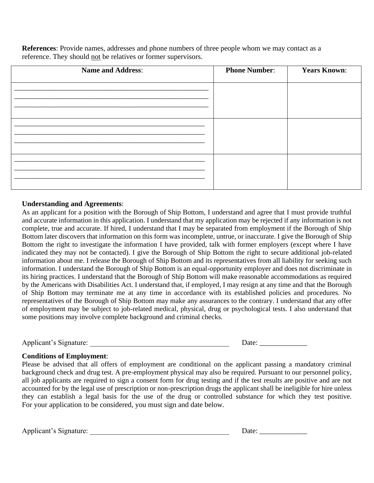**References**: Provide names, addresses and phone numbers of three people whom we may contact as a reference. They should not be relatives or former supervisors.

| <b>Name and Address:</b> | <b>Phone Number:</b> | <b>Years Known:</b> |
|--------------------------|----------------------|---------------------|
|                          |                      |                     |
|                          |                      |                     |
|                          |                      |                     |
|                          |                      |                     |
|                          |                      |                     |
|                          |                      |                     |

#### **Understanding and Agreements**:

As an applicant for a position with the Borough of Ship Bottom, I understand and agree that I must provide truthful and accurate information in this application. I understand that my application may be rejected if any information is not complete, true and accurate. If hired, I understand that I may be separated from employment if the Borough of Ship Bottom later discovers that information on this form was incomplete, untrue, or inaccurate. I give the Borough of Ship Bottom the right to investigate the information I have provided, talk with former employers (except where I have indicated they may not be contacted). I give the Borough of Ship Bottom the right to secure additional job-related information about me. I release the Borough of Ship Bottom and its representatives from all liability for seeking such information. I understand the Borough of Ship Bottom is an equal-opportunity employer and does not discriminate in its hiring practices. I understand that the Borough of Ship Bottom will make reasonable accommodations as required by the Americans with Disabilities Act. I understand that, if employed, I may resign at any time and that the Borough of Ship Bottom may terminate me at any time in accordance with its established policies and procedures. No representatives of the Borough of Ship Bottom may make any assurances to the contrary. I understand that any offer of employment may be subject to job-related medical, physical, drug or psychological tests. I also understand that some positions may involve complete background and criminal checks.

Applicant's Signature: \_\_\_\_\_\_\_\_\_\_\_\_\_\_\_\_\_\_\_\_\_\_\_\_\_\_\_\_\_\_\_\_\_\_\_\_\_\_ Date: \_\_\_\_\_\_\_\_\_\_\_\_\_

#### **Conditions of Employment**:

Please be advised that all offers of employment are conditional on the applicant passing a mandatory criminal background check and drug test. A pre-employment physical may also be required. Pursuant to our personnel policy, all job applicants are required to sign a consent form for drug testing and if the test results are positive and are not accounted for by the legal use of prescription or non-prescription drugs the applicant shall be ineligible for hire unless they can establish a legal basis for the use of the drug or controlled substance for which they test positive. For your application to be considered, you must sign and date below.

Applicant's Signature:  $\Box$